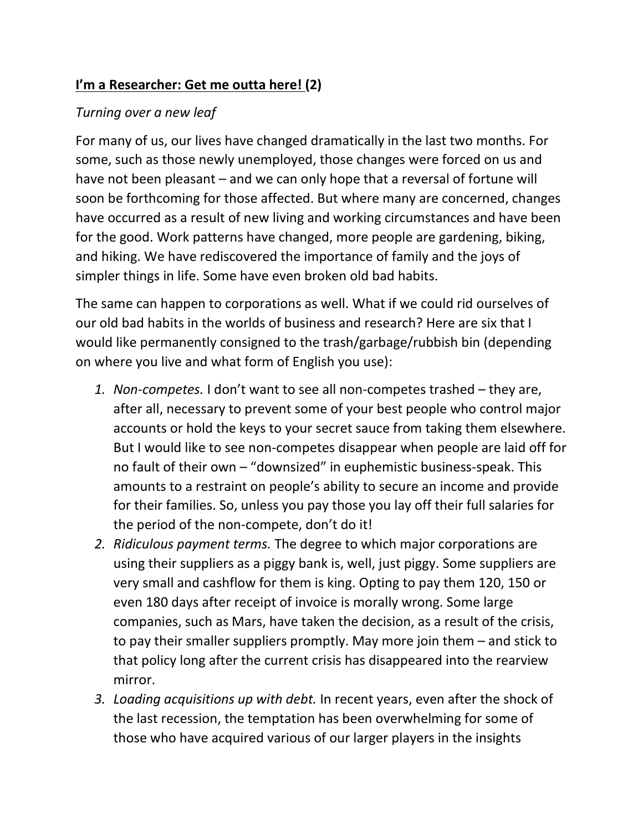## **I'm a Researcher: Get me outta here! (2)**

## *Turning over a new leaf*

For many of us, our lives have changed dramatically in the last two months. For some, such as those newly unemployed, those changes were forced on us and have not been pleasant – and we can only hope that a reversal of fortune will soon be forthcoming for those affected. But where many are concerned, changes have occurred as a result of new living and working circumstances and have been for the good. Work patterns have changed, more people are gardening, biking, and hiking. We have rediscovered the importance of family and the joys of simpler things in life. Some have even broken old bad habits.

The same can happen to corporations as well. What if we could rid ourselves of our old bad habits in the worlds of business and research? Here are six that I would like permanently consigned to the trash/garbage/rubbish bin (depending on where you live and what form of English you use):

- *1. Non-competes.* I don't want to see all non-competes trashed they are, after all, necessary to prevent some of your best people who control major accounts or hold the keys to your secret sauce from taking them elsewhere. But I would like to see non-competes disappear when people are laid off for no fault of their own – "downsized" in euphemistic business-speak. This amounts to a restraint on people's ability to secure an income and provide for their families. So, unless you pay those you lay off their full salaries for the period of the non-compete, don't do it!
- *2. Ridiculous payment terms.* The degree to which major corporations are using their suppliers as a piggy bank is, well, just piggy. Some suppliers are very small and cashflow for them is king. Opting to pay them 120, 150 or even 180 days after receipt of invoice is morally wrong. Some large companies, such as Mars, have taken the decision, as a result of the crisis, to pay their smaller suppliers promptly. May more join them – and stick to that policy long after the current crisis has disappeared into the rearview mirror.
- *3. Loading acquisitions up with debt.* In recent years, even after the shock of the last recession, the temptation has been overwhelming for some of those who have acquired various of our larger players in the insights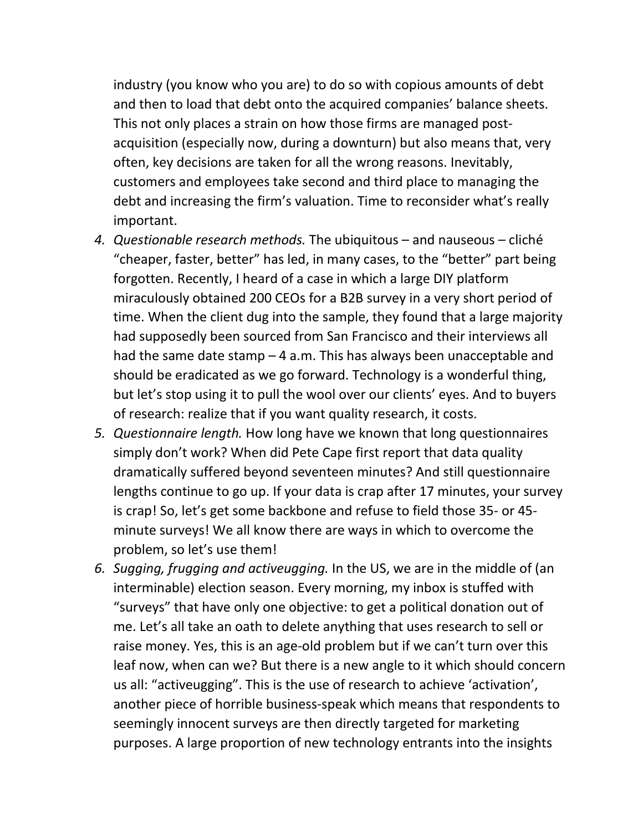industry (you know who you are) to do so with copious amounts of debt and then to load that debt onto the acquired companies' balance sheets. This not only places a strain on how those firms are managed postacquisition (especially now, during a downturn) but also means that, very often, key decisions are taken for all the wrong reasons. Inevitably, customers and employees take second and third place to managing the debt and increasing the firm's valuation. Time to reconsider what's really important.

- *4. Questionable research methods.* The ubiquitous and nauseous cliché "cheaper, faster, better" has led, in many cases, to the "better" part being forgotten. Recently, I heard of a case in which a large DIY platform miraculously obtained 200 CEOs for a B2B survey in a very short period of time. When the client dug into the sample, they found that a large majority had supposedly been sourced from San Francisco and their interviews all had the same date stamp  $-4$  a.m. This has always been unacceptable and should be eradicated as we go forward. Technology is a wonderful thing, but let's stop using it to pull the wool over our clients' eyes. And to buyers of research: realize that if you want quality research, it costs.
- *5. Questionnaire length.* How long have we known that long questionnaires simply don't work? When did Pete Cape first report that data quality dramatically suffered beyond seventeen minutes? And still questionnaire lengths continue to go up. If your data is crap after 17 minutes, your survey is crap! So, let's get some backbone and refuse to field those 35- or 45 minute surveys! We all know there are ways in which to overcome the problem, so let's use them!
- *6. Sugging, frugging and activeugging.* In the US, we are in the middle of (an interminable) election season. Every morning, my inbox is stuffed with "surveys" that have only one objective: to get a political donation out of me. Let's all take an oath to delete anything that uses research to sell or raise money. Yes, this is an age-old problem but if we can't turn over this leaf now, when can we? But there is a new angle to it which should concern us all: "activeugging". This is the use of research to achieve 'activation', another piece of horrible business-speak which means that respondents to seemingly innocent surveys are then directly targeted for marketing purposes. A large proportion of new technology entrants into the insights